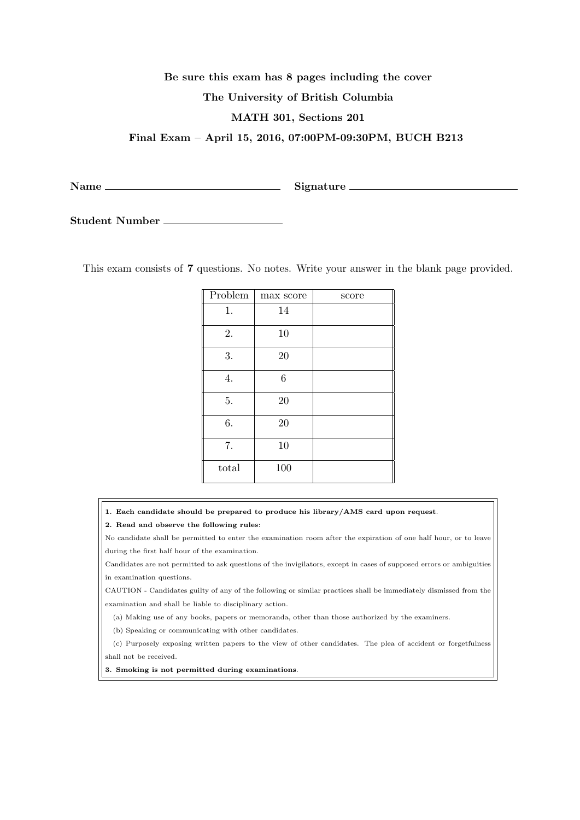## **Be sure this exam has 8 pages including the cover The University of British Columbia MATH 301, Sections 201**

**Final Exam – April 15, 2016, 07:00PM-09:30PM, BUCH B213**

Name Signature

**Student Number**

This exam consists of **7** questions. No notes. Write your answer in the blank page provided.

| Problem | max score | score |
|---------|-----------|-------|
| 1.      | 14        |       |
| 2.      | 10        |       |
| 3.      | $20\,$    |       |
| 4.      | 6         |       |
| 5.      | 20        |       |
| 6.      | 20        |       |
| 7.      | 10        |       |
| total   | 100       |       |

**1. Each candidate should be prepared to produce his library/AMS card upon request**.

**2. Read and observe the following rules**:

No candidate shall be permitted to enter the examination room after the expiration of one half hour, or to leave during the first half hour of the examination.

Candidates are not permitted to ask questions of the invigilators, except in cases of supposed errors or ambiguities in examination questions.

CAUTION - Candidates guilty of any of the following or similar practices shall be immediately dismissed from the examination and shall be liable to disciplinary action.

(a) Making use of any books, papers or memoranda, other than those authorized by the examiners.

(b) Speaking or communicating with other candidates.

(c) Purposely exposing written papers to the view of other candidates. The plea of accident or forgetfulness shall not be received.

**3. Smoking is not permitted during examinations**.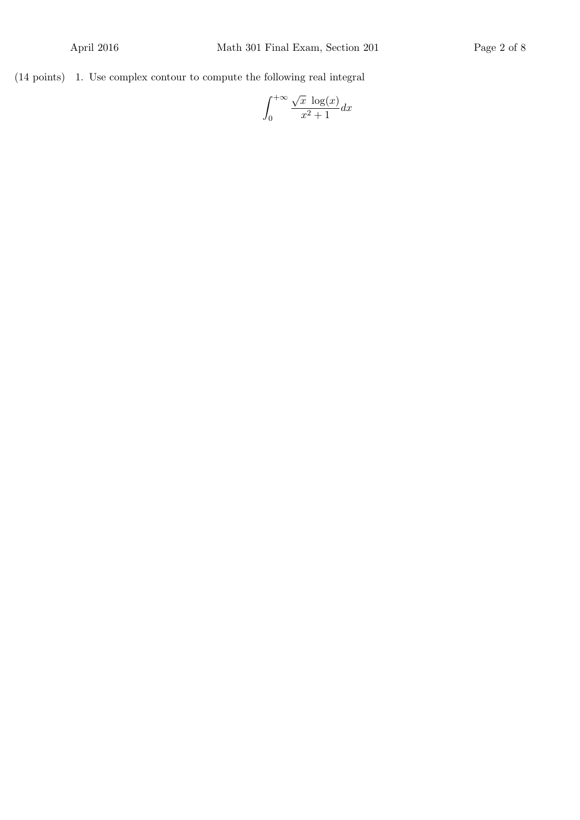(14 points) 1. Use complex contour to compute the following real integral

$$
\int_0^{+\infty} \frac{\sqrt{x} \, \log(x)}{x^2 + 1} dx
$$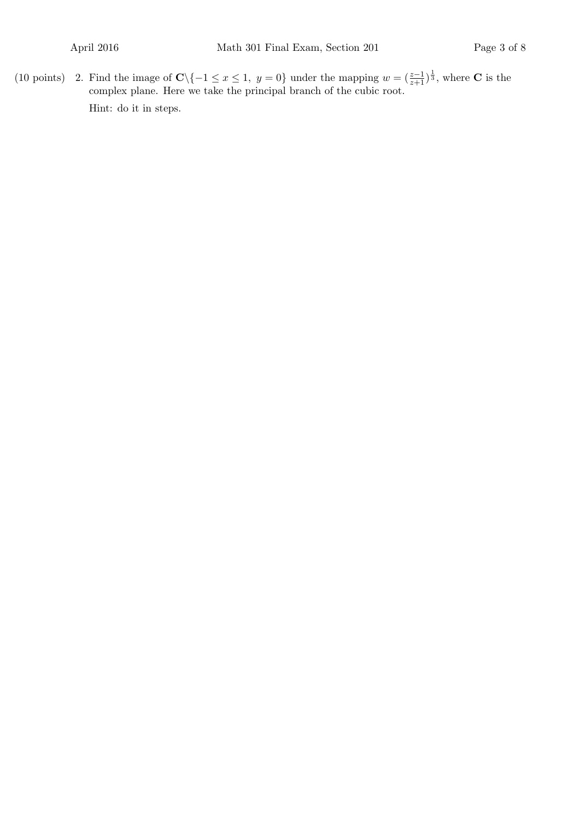(10 points) 2. Find the image of  $\mathbb{C}\setminus\{-1 \leq x \leq 1, y = 0\}$  under the mapping  $w = \left(\frac{z-1}{z+1}\right)^{\frac{1}{3}}$ , where  $\mathbb{C}$  is the complex plane. Here we take the principal branch of the cubic root. Hint: do it in steps.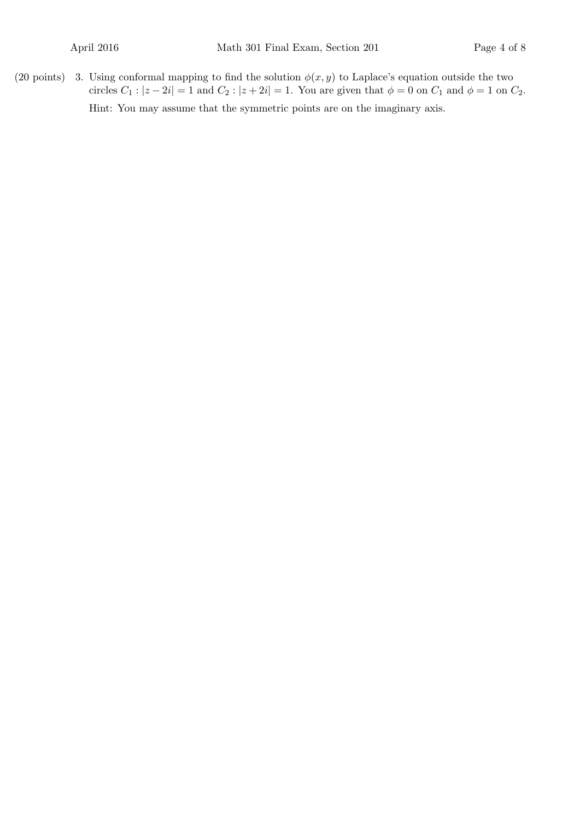(20 points) 3. Using conformal mapping to find the solution  $\phi(x, y)$  to Laplace's equation outside the two circles  $C_1$  :  $|z - 2i| = 1$  and  $C_2$  :  $|z + 2i| = 1$ . You are given that  $\phi = 0$  on  $C_1$  and  $\phi = 1$  on  $C_2$ . Hint: You may assume that the symmetric points are on the imaginary axis.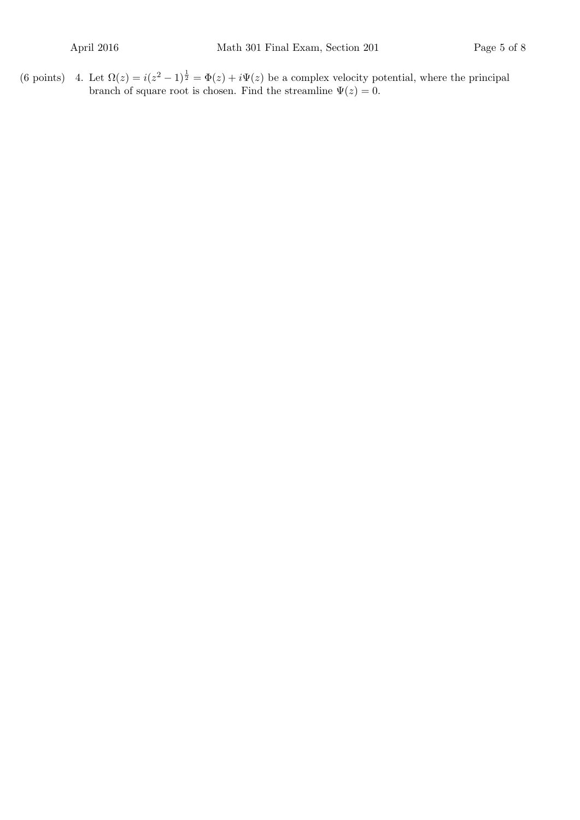(6 points) 4. Let  $\Omega(z) = i(z^2 - 1)^{\frac{1}{2}} = \Phi(z) + i\Psi(z)$  be a complex velocity potential, where the principal branch of square root is chosen. Find the streamline  $\Psi(z) = 0$ .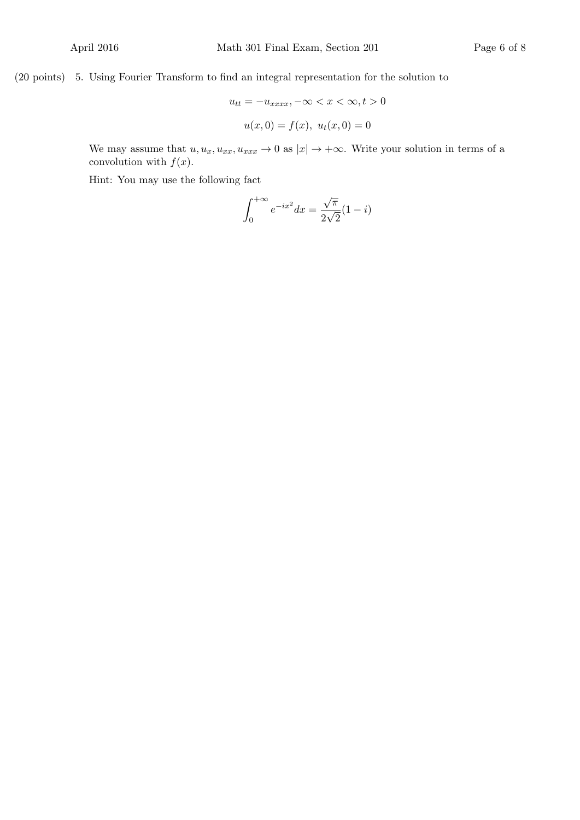(20 points) 5. Using Fourier Transform to find an integral representation for the solution to

$$
u_{tt} = -u_{xxxx}, -\infty < x < \infty, t > 0
$$
\n
$$
u(x, 0) = f(x), \ u_t(x, 0) = 0
$$

We may assume that  $u, u_x, u_{xx}, u_{xxx} \to 0$  as  $|x| \to +\infty$ . Write your solution in terms of a convolution with  $f(x)$ .

Hint: You may use the following fact

$$
\int_0^{+\infty} e^{-ix^2} dx = \frac{\sqrt{\pi}}{2\sqrt{2}} (1 - i)
$$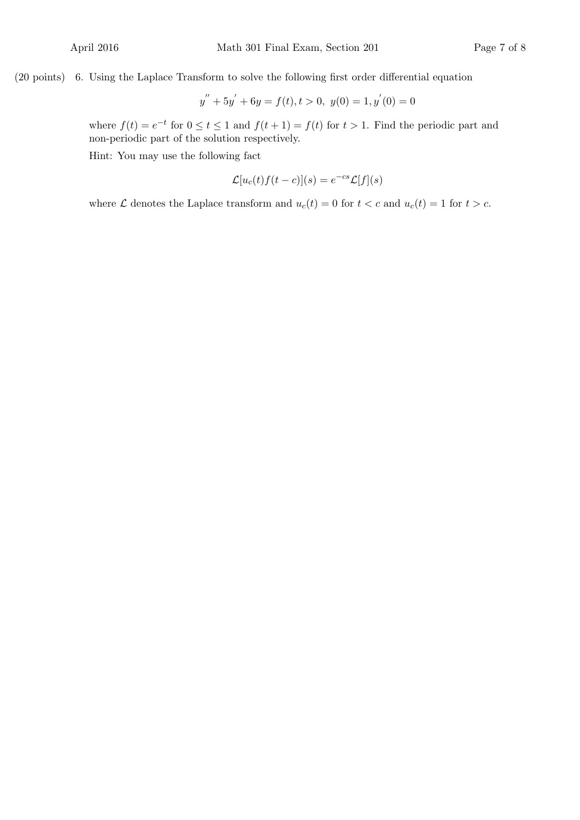## (20 points) 6. Using the Laplace Transform to solve the following first order differential equation

$$
y'' + 5y' + 6y = f(t), t > 0, y(0) = 1, y'(0) = 0
$$

where  $f(t) = e^{-t}$  for  $0 \le t \le 1$  and  $f(t+1) = f(t)$  for  $t > 1$ . Find the periodic part and non-periodic part of the solution respectively.

Hint: You may use the following fact

$$
\mathcal{L}[u_c(t)f(t-c)](s) = e^{-cs}\mathcal{L}[f](s)
$$

where  $\mathcal L$  denotes the Laplace transform and  $u_c(t) = 0$  for  $t < c$  and  $u_c(t) = 1$  for  $t > c$ .